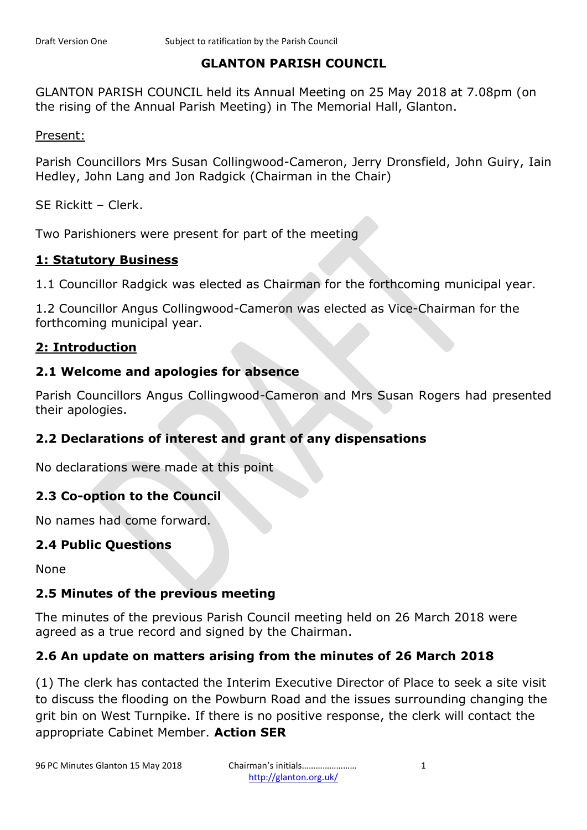#### **GLANTON PARISH COUNCIL**

GLANTON PARISH COUNCIL held its Annual Meeting on 25 May 2018 at 7.08pm (on the rising of the Annual Parish Meeting) in The Memorial Hall, Glanton.

Present:

Parish Councillors Mrs Susan Collingwood-Cameron, Jerry Dronsfield, John Guiry, Iain Hedley, John Lang and Jon Radgick (Chairman in the Chair)

SE Rickitt – Clerk.

Two Parishioners were present for part of the meeting

#### **1: Statutory Business**

1.1 Councillor Radgick was elected as Chairman for the forthcoming municipal year.

1.2 Councillor Angus Collingwood-Cameron was elected as Vice-Chairman for the forthcoming municipal year.

## **2: Introduction**

#### **2.1 Welcome and apologies for absence**

Parish Councillors Angus Collingwood-Cameron and Mrs Susan Rogers had presented their apologies.

# **2.2 Declarations of interest and grant of any dispensations**

No declarations were made at this point

#### **2.3 Co-option to the Council**

No names had come forward.

#### **2.4 Public Questions**

None

#### **2.5 Minutes of the previous meeting**

The minutes of the previous Parish Council meeting held on 26 March 2018 were agreed as a true record and signed by the Chairman.

# **2.6 An update on matters arising from the minutes of 26 March 2018**

(1) The clerk has contacted the Interim Executive Director of Place to seek a site visit to discuss the flooding on the Powburn Road and the issues surrounding changing the grit bin on West Turnpike. If there is no positive response, the clerk will contact the appropriate Cabinet Member. **Action SER**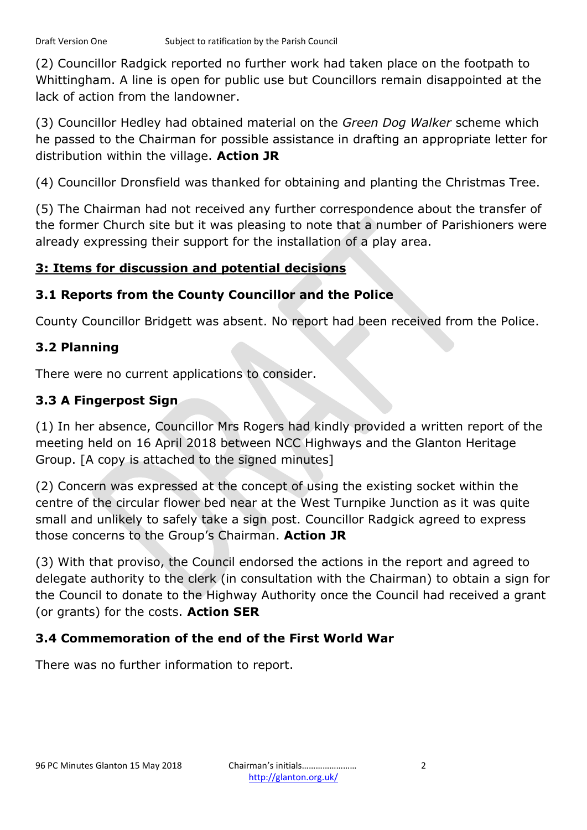(2) Councillor Radgick reported no further work had taken place on the footpath to Whittingham. A line is open for public use but Councillors remain disappointed at the lack of action from the landowner.

(3) Councillor Hedley had obtained material on the *Green Dog Walker* scheme which he passed to the Chairman for possible assistance in drafting an appropriate letter for distribution within the village. **Action JR**

(4) Councillor Dronsfield was thanked for obtaining and planting the Christmas Tree.

(5) The Chairman had not received any further correspondence about the transfer of the former Church site but it was pleasing to note that a number of Parishioners were already expressing their support for the installation of a play area.

# **3: Items for discussion and potential decisions**

# **3.1 Reports from the County Councillor and the Police**

County Councillor Bridgett was absent. No report had been received from the Police.

# **3.2 Planning**

There were no current applications to consider.

# **3.3 A Fingerpost Sign**

(1) In her absence, Councillor Mrs Rogers had kindly provided a written report of the meeting held on 16 April 2018 between NCC Highways and the Glanton Heritage Group. [A copy is attached to the signed minutes]

(2) Concern was expressed at the concept of using the existing socket within the centre of the circular flower bed near at the West Turnpike Junction as it was quite small and unlikely to safely take a sign post. Councillor Radgick agreed to express those concerns to the Group's Chairman. **Action JR**

(3) With that proviso, the Council endorsed the actions in the report and agreed to delegate authority to the clerk (in consultation with the Chairman) to obtain a sign for the Council to donate to the Highway Authority once the Council had received a grant (or grants) for the costs. **Action SER**

# **3.4 Commemoration of the end of the First World War**

There was no further information to report.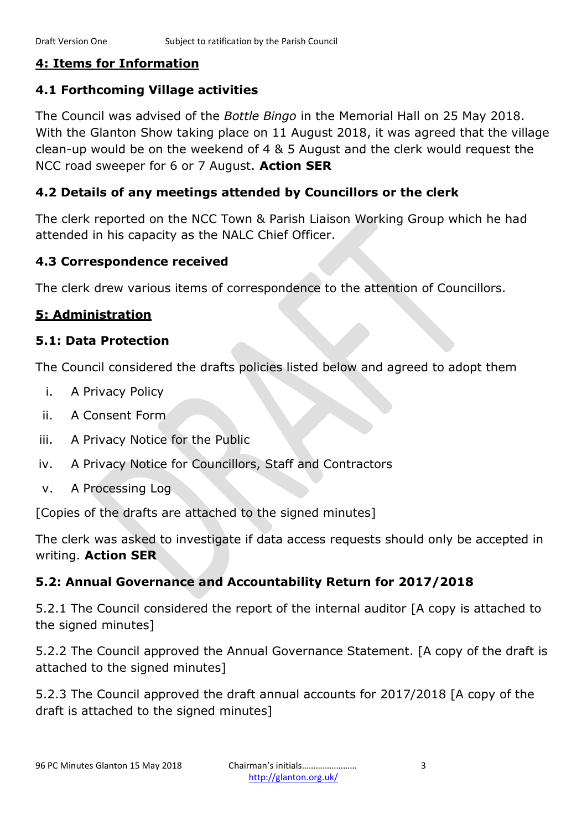## **4: Items for Information**

## **4.1 Forthcoming Village activities**

The Council was advised of the *Bottle Bingo* in the Memorial Hall on 25 May 2018. With the Glanton Show taking place on 11 August 2018, it was agreed that the village clean-up would be on the weekend of 4 & 5 August and the clerk would request the NCC road sweeper for 6 or 7 August. **Action SER**

## **4.2 Details of any meetings attended by Councillors or the clerk**

The clerk reported on the NCC Town & Parish Liaison Working Group which he had attended in his capacity as the NALC Chief Officer.

## **4.3 Correspondence received**

The clerk drew various items of correspondence to the attention of Councillors.

# **5: Administration**

#### **5.1: Data Protection**

The Council considered the drafts policies listed below and agreed to adopt them

- i. A Privacy Policy
- ii. A Consent Form
- iii. A Privacy Notice for the Public
- iv. A Privacy Notice for Councillors, Staff and Contractors
- v. A Processing Log

[Copies of the drafts are attached to the signed minutes]

The clerk was asked to investigate if data access requests should only be accepted in writing. **Action SER**

# **5.2: Annual Governance and Accountability Return for 2017/2018**

5.2.1 The Council considered the report of the internal auditor [A copy is attached to the signed minutes]

5.2.2 The Council approved the Annual Governance Statement. [A copy of the draft is attached to the signed minutes]

5.2.3 The Council approved the draft annual accounts for 2017/2018 [A copy of the draft is attached to the signed minutes]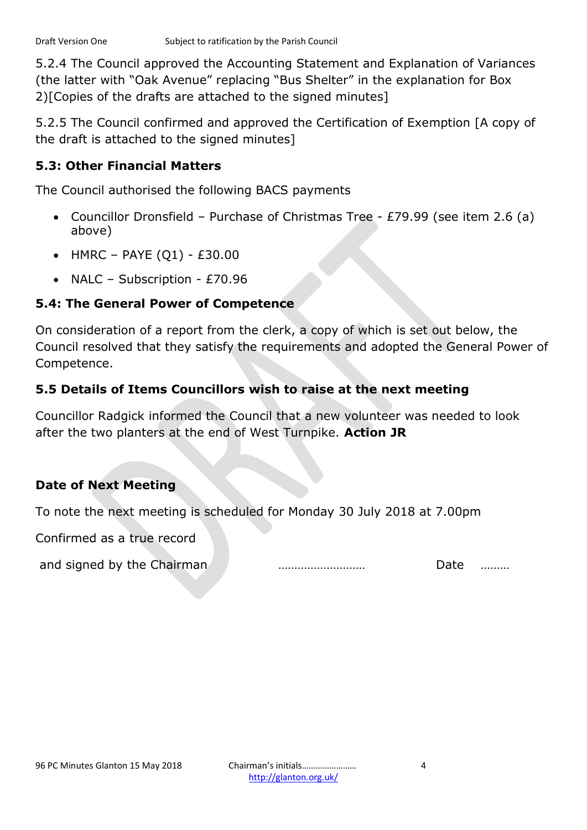5.2.4 The Council approved the Accounting Statement and Explanation of Variances (the latter with "Oak Avenue" replacing "Bus Shelter" in the explanation for Box 2)[Copies of the drafts are attached to the signed minutes]

5.2.5 The Council confirmed and approved the Certification of Exemption [A copy of the draft is attached to the signed minutes]

## **5.3: Other Financial Matters**

The Council authorised the following BACS payments

- Councillor Dronsfield Purchase of Christmas Tree £79.99 (see item 2.6 (a) above)
- HMRC PAYE  $(Q1)$  £30.00
- NALC Subscription £70.96

#### **5.4: The General Power of Competence**

On consideration of a report from the clerk, a copy of which is set out below, the Council resolved that they satisfy the requirements and adopted the General Power of Competence.

# **5.5 Details of Items Councillors wish to raise at the next meeting**

Councillor Radgick informed the Council that a new volunteer was needed to look after the two planters at the end of West Turnpike. **Action JR**

# **Date of Next Meeting**

To note the next meeting is scheduled for Monday 30 July 2018 at 7.00pm

Confirmed as a true record

and signed by the Chairman **Exercise 2018** means and signed by the Chairman **Exercise 2018**